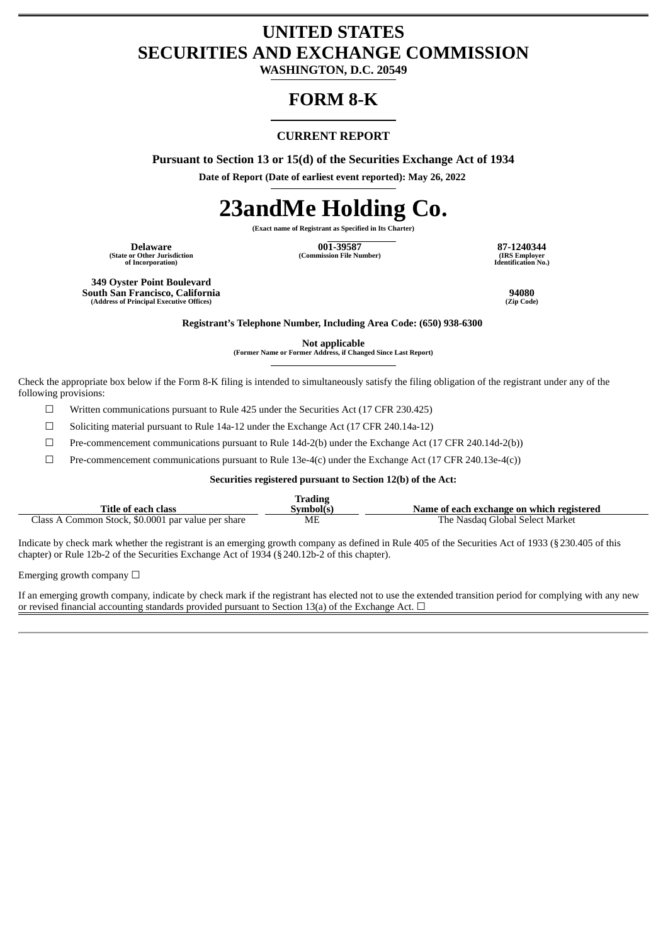# **UNITED STATES SECURITIES AND EXCHANGE COMMISSION**

**WASHINGTON, D.C. 20549**

# **FORM 8-K**

# **CURRENT REPORT**

**Pursuant to Section 13 or 15(d) of the Securities Exchange Act of 1934**

**Date of Report (Date of earliest event reported): May 26, 2022**

# **23andMe Holding Co.**

**(Exact name of Registrant as Specified in Its Charter)**

**(State or Other Jurisdiction of Incorporation)**

**Delaware 001-39587 87-1240344 (Commission File Number) (IRS Employer**

**Identification No.)**

**349 Oyster Point Boulevard South San Francisco, California 94080 (Address of Principal Executive Offices) (Zip Code)**

**Registrant's Telephone Number, Including Area Code: (650) 938-6300**

**Not applicable**

**(Former Name or Former Address, if Changed Since Last Report)**

Check the appropriate box below if the Form 8-K filing is intended to simultaneously satisfy the filing obligation of the registrant under any of the following provisions:

 $\Box$  Written communications pursuant to Rule 425 under the Securities Act (17 CFR 230.425)

☐ Soliciting material pursuant to Rule 14a-12 under the Exchange Act (17 CFR 240.14a-12)

☐ Pre-commencement communications pursuant to Rule 14d-2(b) under the Exchange Act (17 CFR 240.14d-2(b))

 $□$  Pre-commencement communications pursuant to Rule 13e-4(c) under the Exchange Act (17 CFR 240.13e-4(c))

### **Securities registered pursuant to Section 12(b) of the Act:**

|                                                    | <b>Trading</b> |                                           |
|----------------------------------------------------|----------------|-------------------------------------------|
| Title of each class                                | Svmbol(s       | Name of each exchange on which registered |
| Class A Common Stock, \$0.0001 par value per share | MF             | The Nasdag Global Select Market           |

Indicate by check mark whether the registrant is an emerging growth company as defined in Rule 405 of the Securities Act of 1933 (§230.405 of this chapter) or Rule 12b-2 of the Securities Exchange Act of 1934 (§240.12b-2 of this chapter).

Emerging growth company  $\Box$ 

If an emerging growth company, indicate by check mark if the registrant has elected not to use the extended transition period for complying with any new or revised financial accounting standards provided pursuant to Section 13(a) of the Exchange Act.  $\Box$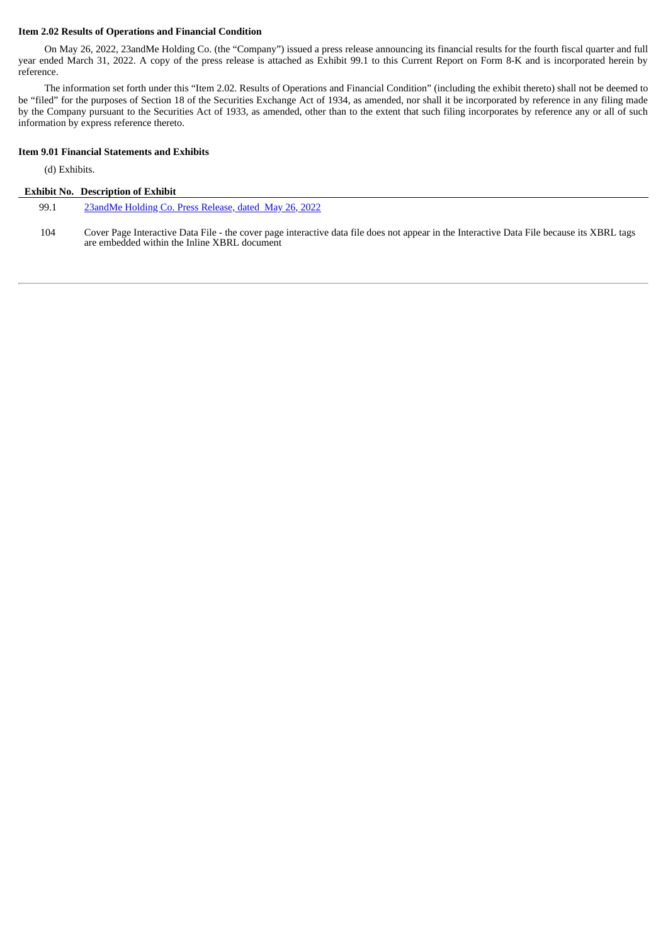#### **Item 2.02 Results of Operations and Financial Condition**

On May 26, 2022, 23andMe Holding Co. (the "Company") issued a press release announcing its financial results for the fourth fiscal quarter and full year ended March 31, 2022. A copy of the press release is attached as Exhibit 99.1 to this Current Report on Form 8-K and is incorporated herein by reference.

The information set forth under this "Item 2.02. Results of Operations and Financial Condition" (including the exhibit thereto) shall not be deemed to be "filed" for the purposes of Section 18 of the Securities Exchange Act of 1934, as amended, nor shall it be incorporated by reference in any filing made by the Company pursuant to the Securities Act of 1933, as amended, other than to the extent that such filing incorporates by reference any or all of such information by express reference thereto.

#### **Item 9.01 Financial Statements and Exhibits**

(d) Exhibits.

## **Exhibit No. Description of Exhibit**

| 99.1 | 23andMe Holding Co. Press Release, dated May 26, 2022                                                                                                                                      |
|------|--------------------------------------------------------------------------------------------------------------------------------------------------------------------------------------------|
| 104  | Cover Page Interactive Data File - the cover page interactive data file does not appear in the Interactive Data File because its XBRL tags<br>are embedded within the Inline XBRL document |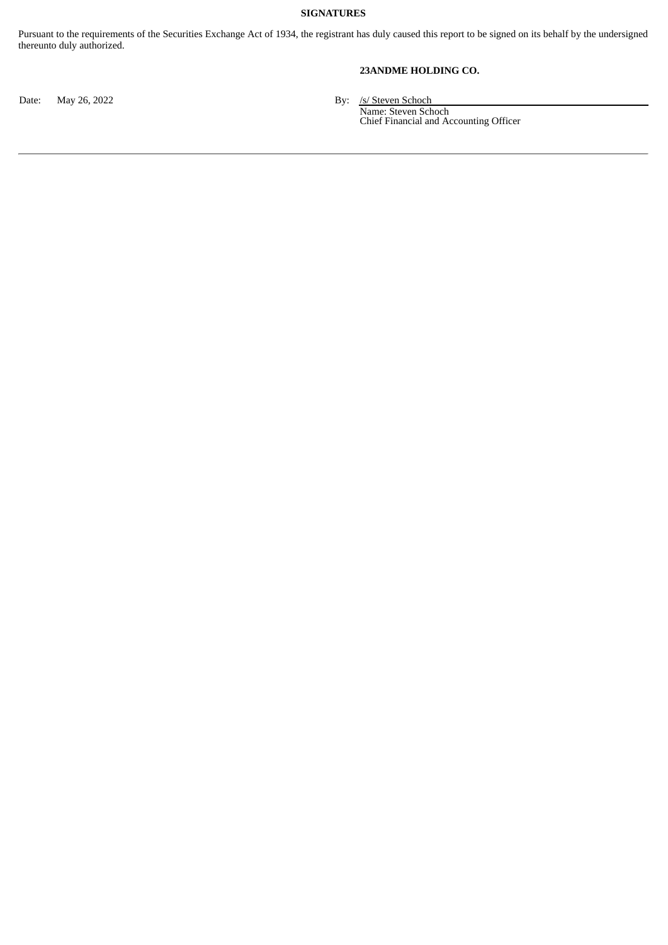# **SIGNATURES**

Pursuant to the requirements of the Securities Exchange Act of 1934, the registrant has duly caused this report to be signed on its behalf by the undersigned thereunto duly authorized.

# **23ANDME HOLDING CO.**

Date: May 26, 2022 **By:** /s/ Steven Schoch

Name: Steven Schoch Chief Financial and Accounting Officer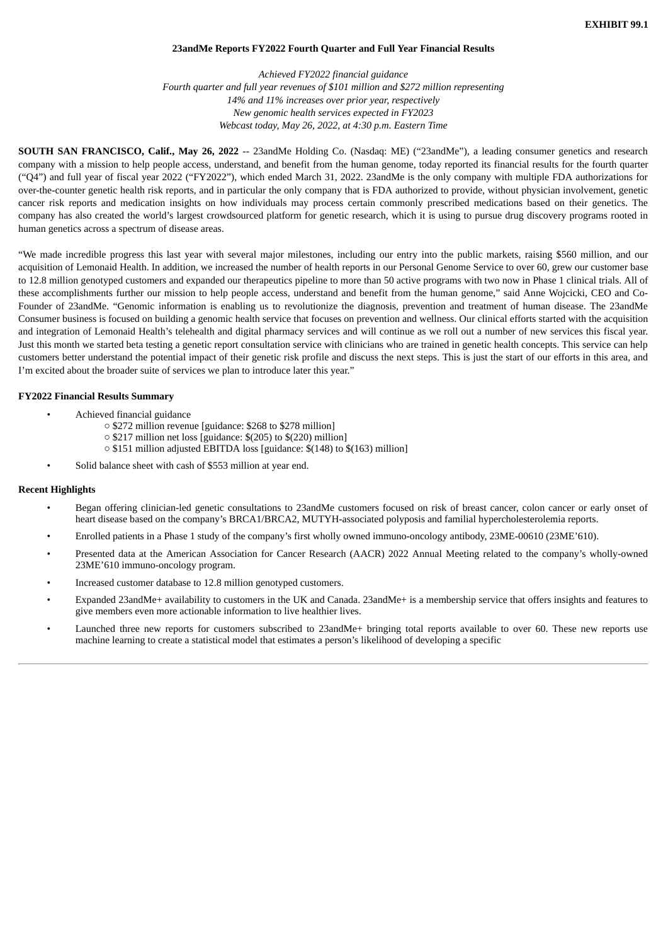#### **23andMe Reports FY2022 Fourth Quarter and Full Year Financial Results**

*Achieved FY2022 financial guidance Fourth quarter and full year revenues of \$101 million and \$272 million representing 14% and 11% increases over prior year, respectively New genomic health services expected in FY2023 Webcast today, May 26, 2022, at 4:30 p.m. Eastern Time*

<span id="page-3-0"></span>**SOUTH SAN FRANCISCO, Calif., May 26, 2022** -- 23andMe Holding Co. (Nasdaq: ME) ("23andMe"), a leading consumer genetics and research company with a mission to help people access, understand, and benefit from the human genome, today reported its financial results for the fourth quarter ("Q4") and full year of fiscal year 2022 ("FY2022"), which ended March 31, 2022. 23andMe is the only company with multiple FDA authorizations for over-the-counter genetic health risk reports, and in particular the only company that is FDA authorized to provide, without physician involvement, genetic cancer risk reports and medication insights on how individuals may process certain commonly prescribed medications based on their genetics. The company has also created the world's largest crowdsourced platform for genetic research, which it is using to pursue drug discovery programs rooted in human genetics across a spectrum of disease areas.

"We made incredible progress this last year with several major milestones, including our entry into the public markets, raising \$560 million, and our acquisition of Lemonaid Health. In addition, we increased the number of health reports in our Personal Genome Service to over 60, grew our customer base to 12.8 million genotyped customers and expanded our therapeutics pipeline to more than 50 active programs with two now in Phase 1 clinical trials. All of these accomplishments further our mission to help people access, understand and benefit from the human genome," said Anne Wojcicki, CEO and Co-Founder of 23andMe. "Genomic information is enabling us to revolutionize the diagnosis, prevention and treatment of human disease. The 23andMe Consumer business is focused on building a genomic health service that focuses on prevention and wellness. Our clinical efforts started with the acquisition and integration of Lemonaid Health's telehealth and digital pharmacy services and will continue as we roll out a number of new services this fiscal year. Just this month we started beta testing a genetic report consultation service with clinicians who are trained in genetic health concepts. This service can help customers better understand the potential impact of their genetic risk profile and discuss the next steps. This is just the start of our efforts in this area, and I'm excited about the broader suite of services we plan to introduce later this year."

#### **FY2022 Financial Results Summary**

- Achieved financial guidance
	- \$272 million revenue [guidance: \$268 to \$278 million]
	- \$217 million net loss [guidance: \$(205) to \$(220) million]
	- \$151 million adjusted EBITDA loss [guidance: \$(148) to \$(163) million]
- Solid balance sheet with cash of \$553 million at year end.

#### **Recent Highlights**

- Began offering clinician-led genetic consultations to 23andMe customers focused on risk of breast cancer, colon cancer or early onset of heart disease based on the company's BRCA1/BRCA2, MUTYH-associated polyposis and familial hypercholesterolemia reports.
- Enrolled patients in a Phase 1 study of the company's first wholly owned immuno-oncology antibody, 23ME-00610 (23ME'610).
- Presented data at the American Association for Cancer Research (AACR) 2022 Annual Meeting related to the company's wholly-owned 23ME'610 immuno-oncology program.
- Increased customer database to 12.8 million genotyped customers.
- Expanded 23andMe+ availability to customers in the UK and Canada. 23andMe+ is a membership service that offers insights and features to give members even more actionable information to live healthier lives.
- Launched three new reports for customers subscribed to 23andMe+ bringing total reports available to over 60. These new reports use machine learning to create a statistical model that estimates a person's likelihood of developing a specific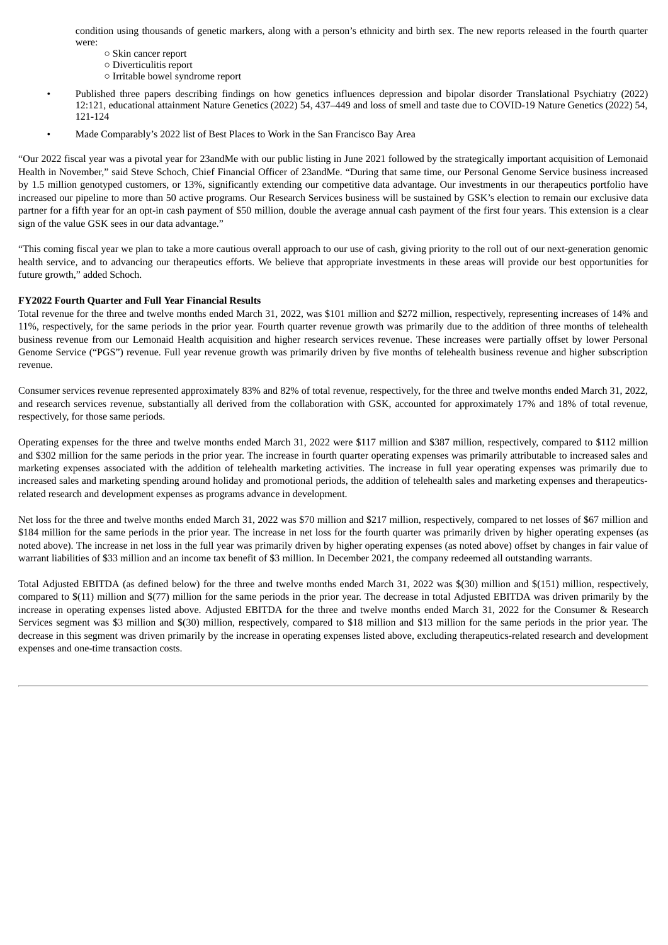condition using thousands of genetic markers, along with a person's ethnicity and birth sex. The new reports released in the fourth quarter were:

- Skin cancer report
- Diverticulitis report
- Irritable bowel syndrome report
- Published three papers describing findings on how genetics influences depression and bipolar disorder Translational Psychiatry (2022) 12:121, educational attainment Nature Genetics (2022) 54, 437–449 and loss of smell and taste due to COVID-19 Nature Genetics (2022) 54, 121-124
- Made Comparably's 2022 list of Best Places to Work in the San Francisco Bay Area

"Our 2022 fiscal year was a pivotal year for 23andMe with our public listing in June 2021 followed by the strategically important acquisition of Lemonaid Health in November," said Steve Schoch, Chief Financial Officer of 23andMe. "During that same time, our Personal Genome Service business increased by 1.5 million genotyped customers, or 13%, significantly extending our competitive data advantage. Our investments in our therapeutics portfolio have increased our pipeline to more than 50 active programs. Our Research Services business will be sustained by GSK's election to remain our exclusive data partner for a fifth year for an opt-in cash payment of \$50 million, double the average annual cash payment of the first four years. This extension is a clear sign of the value GSK sees in our data advantage."

"This coming fiscal year we plan to take a more cautious overall approach to our use of cash, giving priority to the roll out of our next-generation genomic health service, and to advancing our therapeutics efforts. We believe that appropriate investments in these areas will provide our best opportunities for future growth," added Schoch.

#### **FY2022 Fourth Quarter and Full Year Financial Results**

Total revenue for the three and twelve months ended March 31, 2022, was \$101 million and \$272 million, respectively, representing increases of 14% and 11%, respectively, for the same periods in the prior year. Fourth quarter revenue growth was primarily due to the addition of three months of telehealth business revenue from our Lemonaid Health acquisition and higher research services revenue. These increases were partially offset by lower Personal Genome Service ("PGS") revenue. Full year revenue growth was primarily driven by five months of telehealth business revenue and higher subscription revenue.

Consumer services revenue represented approximately 83% and 82% of total revenue, respectively, for the three and twelve months ended March 31, 2022, and research services revenue, substantially all derived from the collaboration with GSK, accounted for approximately 17% and 18% of total revenue, respectively, for those same periods.

Operating expenses for the three and twelve months ended March 31, 2022 were \$117 million and \$387 million, respectively, compared to \$112 million and \$302 million for the same periods in the prior year. The increase in fourth quarter operating expenses was primarily attributable to increased sales and marketing expenses associated with the addition of telehealth marketing activities. The increase in full year operating expenses was primarily due to increased sales and marketing spending around holiday and promotional periods, the addition of telehealth sales and marketing expenses and therapeuticsrelated research and development expenses as programs advance in development.

Net loss for the three and twelve months ended March 31, 2022 was \$70 million and \$217 million, respectively, compared to net losses of \$67 million and \$184 million for the same periods in the prior year. The increase in net loss for the fourth quarter was primarily driven by higher operating expenses (as noted above). The increase in net loss in the full year was primarily driven by higher operating expenses (as noted above) offset by changes in fair value of warrant liabilities of \$33 million and an income tax benefit of \$3 million. In December 2021, the company redeemed all outstanding warrants.

Total Adjusted EBITDA (as defined below) for the three and twelve months ended March 31, 2022 was \$(30) million and \$(151) million, respectively, compared to  $\frac{f(1)}{g(1)}$  million and  $\frac{f(77)}{g(17)}$  million for the same periods in the prior year. The decrease in total Adjusted EBITDA was driven primarily by the increase in operating expenses listed above. Adjusted EBITDA for the three and twelve months ended March 31, 2022 for the Consumer & Research Services segment was \$3 million and \$(30) million, respectively, compared to \$18 million and \$13 million for the same periods in the prior year. The decrease in this segment was driven primarily by the increase in operating expenses listed above, excluding therapeutics-related research and development expenses and one-time transaction costs.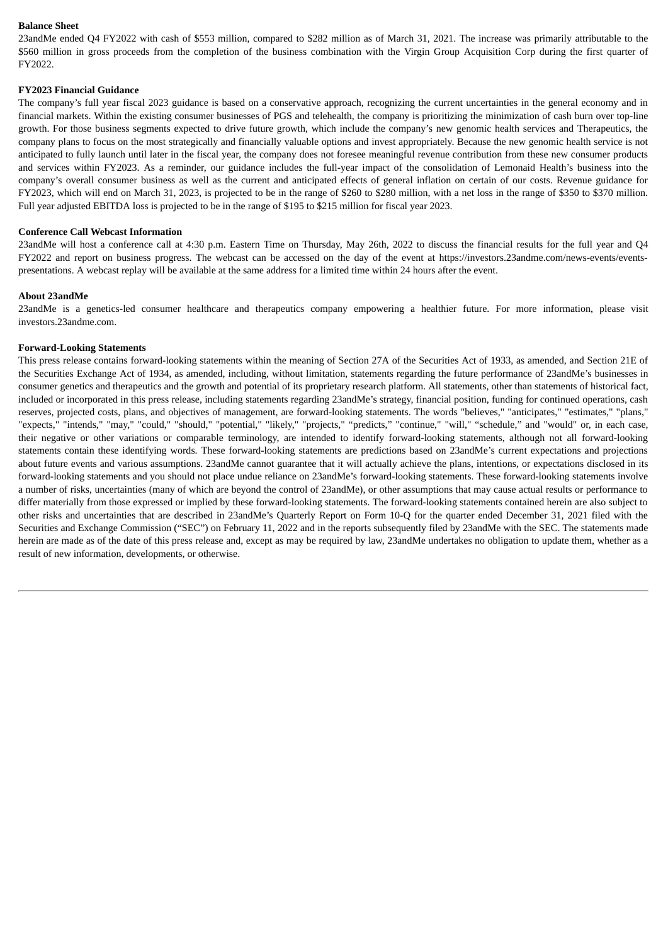#### **Balance Sheet**

23andMe ended Q4 FY2022 with cash of \$553 million, compared to \$282 million as of March 31, 2021. The increase was primarily attributable to the \$560 million in gross proceeds from the completion of the business combination with the Virgin Group Acquisition Corp during the first quarter of FY2022.

#### **FY2023 Financial Guidance**

The company's full year fiscal 2023 guidance is based on a conservative approach, recognizing the current uncertainties in the general economy and in financial markets. Within the existing consumer businesses of PGS and telehealth, the company is prioritizing the minimization of cash burn over top-line growth. For those business segments expected to drive future growth, which include the company's new genomic health services and Therapeutics, the company plans to focus on the most strategically and financially valuable options and invest appropriately. Because the new genomic health service is not anticipated to fully launch until later in the fiscal year, the company does not foresee meaningful revenue contribution from these new consumer products and services within FY2023. As a reminder, our guidance includes the full-year impact of the consolidation of Lemonaid Health's business into the company's overall consumer business as well as the current and anticipated effects of general inflation on certain of our costs. Revenue guidance for FY2023, which will end on March 31, 2023, is projected to be in the range of \$260 to \$280 million, with a net loss in the range of \$350 to \$370 million. Full year adjusted EBITDA loss is projected to be in the range of \$195 to \$215 million for fiscal year 2023.

#### **Conference Call Webcast Information**

23andMe will host a conference call at 4:30 p.m. Eastern Time on Thursday, May 26th, 2022 to discuss the financial results for the full year and Q4 FY2022 and report on business progress. The webcast can be accessed on the day of the event at https://investors.23andme.com/news-events/eventspresentations. A webcast replay will be available at the same address for a limited time within 24 hours after the event.

#### **About 23andMe**

23andMe is a genetics-led consumer healthcare and therapeutics company empowering a healthier future. For more information, please visit investors.23andme.com.

#### **Forward-Looking Statements**

This press release contains forward-looking statements within the meaning of Section 27A of the Securities Act of 1933, as amended, and Section 21E of the Securities Exchange Act of 1934, as amended, including, without limitation, statements regarding the future performance of 23andMe's businesses in consumer genetics and therapeutics and the growth and potential of its proprietary research platform. All statements, other than statements of historical fact, included or incorporated in this press release, including statements regarding 23andMe's strategy, financial position, funding for continued operations, cash reserves, projected costs, plans, and objectives of management, are forward-looking statements. The words "believes," "anticipates," "estimates," "plans," "expects," "intends," "may," "could," "should," "potential," "likely," "projects," "predicts," "continue," "will," "schedule," and "would" or, in each case, their negative or other variations or comparable terminology, are intended to identify forward-looking statements, although not all forward-looking statements contain these identifying words. These forward-looking statements are predictions based on 23andMe's current expectations and projections about future events and various assumptions. 23andMe cannot guarantee that it will actually achieve the plans, intentions, or expectations disclosed in its forward-looking statements and you should not place undue reliance on 23andMe's forward-looking statements. These forward-looking statements involve a number of risks, uncertainties (many of which are beyond the control of 23andMe), or other assumptions that may cause actual results or performance to differ materially from those expressed or implied by these forward-looking statements. The forward-looking statements contained herein are also subject to other risks and uncertainties that are described in 23andMe's Quarterly Report on Form 10-Q for the quarter ended December 31, 2021 filed with the Securities and Exchange Commission ("SEC") on February 11, 2022 and in the reports subsequently filed by 23andMe with the SEC. The statements made herein are made as of the date of this press release and, except as may be required by law, 23andMe undertakes no obligation to update them, whether as a result of new information, developments, or otherwise.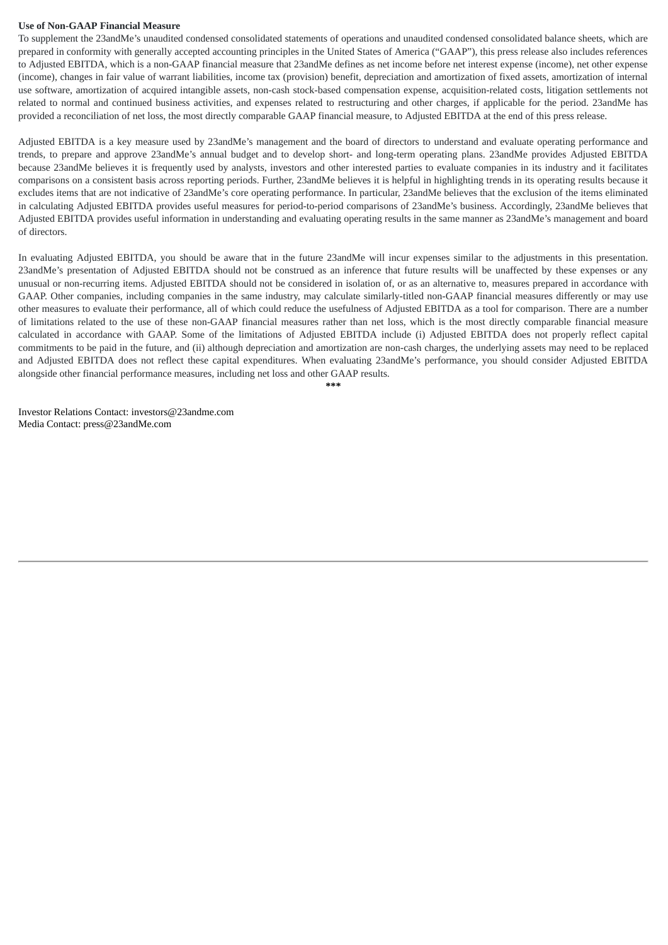#### **Use of Non-GAAP Financial Measure**

To supplement the 23andMe's unaudited condensed consolidated statements of operations and unaudited condensed consolidated balance sheets, which are prepared in conformity with generally accepted accounting principles in the United States of America ("GAAP"), this press release also includes references to Adjusted EBITDA, which is a non-GAAP financial measure that 23andMe defines as net income before net interest expense (income), net other expense (income), changes in fair value of warrant liabilities, income tax (provision) benefit, depreciation and amortization of fixed assets, amortization of internal use software, amortization of acquired intangible assets, non-cash stock-based compensation expense, acquisition-related costs, litigation settlements not related to normal and continued business activities, and expenses related to restructuring and other charges, if applicable for the period. 23andMe has provided a reconciliation of net loss, the most directly comparable GAAP financial measure, to Adjusted EBITDA at the end of this press release.

Adjusted EBITDA is a key measure used by 23andMe's management and the board of directors to understand and evaluate operating performance and trends, to prepare and approve 23andMe's annual budget and to develop short- and long-term operating plans. 23andMe provides Adjusted EBITDA because 23andMe believes it is frequently used by analysts, investors and other interested parties to evaluate companies in its industry and it facilitates comparisons on a consistent basis across reporting periods. Further, 23andMe believes it is helpful in highlighting trends in its operating results because it excludes items that are not indicative of 23andMe's core operating performance. In particular, 23andMe believes that the exclusion of the items eliminated in calculating Adjusted EBITDA provides useful measures for period-to-period comparisons of 23andMe's business. Accordingly, 23andMe believes that Adjusted EBITDA provides useful information in understanding and evaluating operating results in the same manner as 23andMe's management and board of directors.

In evaluating Adjusted EBITDA, you should be aware that in the future 23andMe will incur expenses similar to the adjustments in this presentation. 23andMe's presentation of Adjusted EBITDA should not be construed as an inference that future results will be unaffected by these expenses or any unusual or non-recurring items. Adjusted EBITDA should not be considered in isolation of, or as an alternative to, measures prepared in accordance with GAAP. Other companies, including companies in the same industry, may calculate similarly-titled non-GAAP financial measures differently or may use other measures to evaluate their performance, all of which could reduce the usefulness of Adjusted EBITDA as a tool for comparison. There are a number of limitations related to the use of these non-GAAP financial measures rather than net loss, which is the most directly comparable financial measure calculated in accordance with GAAP. Some of the limitations of Adjusted EBITDA include (i) Adjusted EBITDA does not properly reflect capital commitments to be paid in the future, and (ii) although depreciation and amortization are non-cash charges, the underlying assets may need to be replaced and Adjusted EBITDA does not reflect these capital expenditures. When evaluating 23andMe's performance, you should consider Adjusted EBITDA alongside other financial performance measures, including net loss and other GAAP results.

**\*\*\***

Investor Relations Contact: investors@23andme.com Media Contact: press@23andMe.com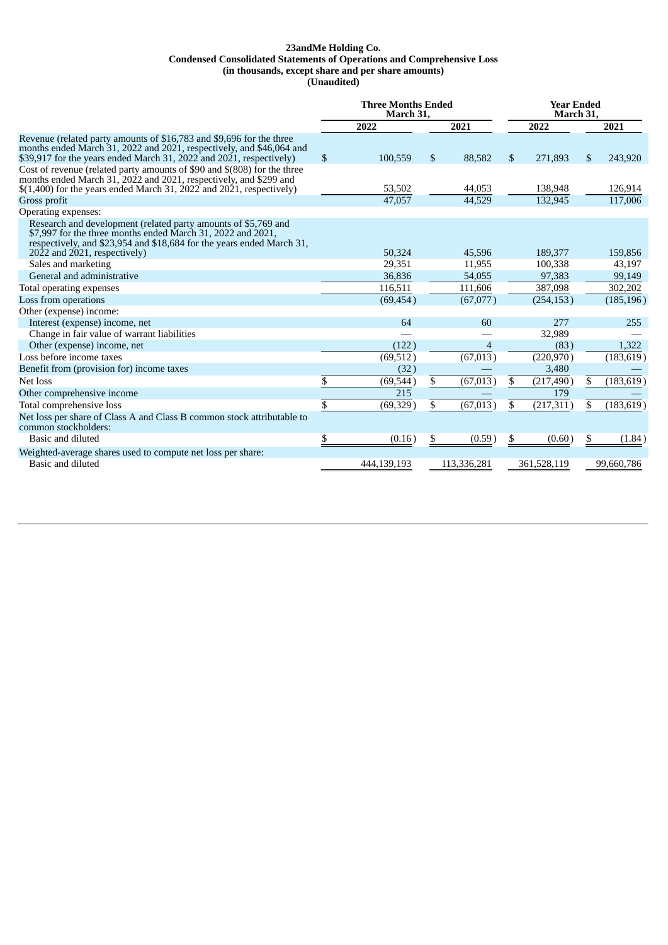#### **23andMe Holding Co. Condensed Consolidated Statements of Operations and Comprehensive Loss (in thousands, except share and per share amounts) (Unaudited)**

|                                                                                                                                                                                                                                        | <b>Three Months Ended</b><br>March 31, |             |              |                | <b>Year Ended</b><br>March 31, |             |    |            |
|----------------------------------------------------------------------------------------------------------------------------------------------------------------------------------------------------------------------------------------|----------------------------------------|-------------|--------------|----------------|--------------------------------|-------------|----|------------|
|                                                                                                                                                                                                                                        |                                        | 2022        |              | 2021           |                                | 2022        |    | 2021       |
| Revenue (related party amounts of \$16,783 and \$9,696 for the three<br>months ended March 31, 2022 and 2021, respectively, and \$46,064 and<br>\$39,917 for the years ended March 31, 2022 and 2021, respectively)                    | \$                                     | 100,559     | $\mathbb{S}$ | 88.582         | \$                             | 271,893     | \$ | 243,920    |
| Cost of revenue (related party amounts of \$90 and \$(808) for the three<br>months ended March 31, 2022 and 2021, respectively, and \$299 and<br>$$(1,400)$ for the years ended March 31, 2022 and 2021, respectively)                 |                                        | 53,502      |              | 44,053         |                                | 138,948     |    | 126,914    |
| Gross profit                                                                                                                                                                                                                           |                                        | 47.057      |              | 44.529         |                                | 132.945     |    | 117,006    |
| Operating expenses:                                                                                                                                                                                                                    |                                        |             |              |                |                                |             |    |            |
| Research and development (related party amounts of \$5,769 and<br>\$7,997 for the three months ended March 31, 2022 and 2021,<br>respectively, and \$23,954 and \$18,684 for the years ended March 31,<br>2022 and 2021, respectively) |                                        | 50,324      |              | 45,596         |                                | 189,377     |    | 159,856    |
| Sales and marketing                                                                                                                                                                                                                    |                                        | 29,351      |              | 11,955         |                                | 100,338     |    | 43,197     |
| General and administrative                                                                                                                                                                                                             |                                        | 36,836      |              | 54,055         |                                | 97,383      |    | 99,149     |
| Total operating expenses                                                                                                                                                                                                               |                                        | 116,511     |              | 111,606        |                                | 387,098     |    | 302,202    |
| Loss from operations                                                                                                                                                                                                                   |                                        | (69, 454)   |              | (67,077)       |                                | (254, 153)  |    | (185, 196) |
| Other (expense) income:                                                                                                                                                                                                                |                                        |             |              |                |                                |             |    |            |
| Interest (expense) income, net                                                                                                                                                                                                         |                                        | 64          |              | 60             |                                | 277         |    | 255        |
| Change in fair value of warrant liabilities                                                                                                                                                                                            |                                        |             |              |                |                                | 32,989      |    |            |
| Other (expense) income, net                                                                                                                                                                                                            |                                        | (122)       |              | $\overline{4}$ |                                | (83)        |    | 1,322      |
| Loss before income taxes                                                                                                                                                                                                               |                                        | (69, 512)   |              | (67, 013)      |                                | (220, 970)  |    | (183, 619) |
| Benefit from (provision for) income taxes                                                                                                                                                                                              |                                        | (32)        |              |                |                                | 3,480       |    |            |
| Net loss                                                                                                                                                                                                                               | \$                                     | (69, 544)   | \$           | (67, 013)      | \$                             | (217, 490)  | \$ | (183, 619) |
| Other comprehensive income                                                                                                                                                                                                             |                                        | 215         |              |                |                                | 179         |    |            |
| Total comprehensive loss                                                                                                                                                                                                               | \$                                     | (69, 329)   | \$           | (67, 013)      | \$                             | (217, 311)  | \$ | (183, 619) |
| Net loss per share of Class A and Class B common stock attributable to<br>common stockholders:                                                                                                                                         |                                        |             |              |                |                                |             |    |            |
| Basic and diluted                                                                                                                                                                                                                      | \$                                     | (0.16)      | S            | (0.59)         | S                              | (0.60)      | S  | (1.84)     |
| Weighted-average shares used to compute net loss per share:                                                                                                                                                                            |                                        |             |              |                |                                |             |    |            |
| Basic and diluted                                                                                                                                                                                                                      |                                        | 444,139,193 |              | 113,336,281    |                                | 361,528,119 |    | 99,660,786 |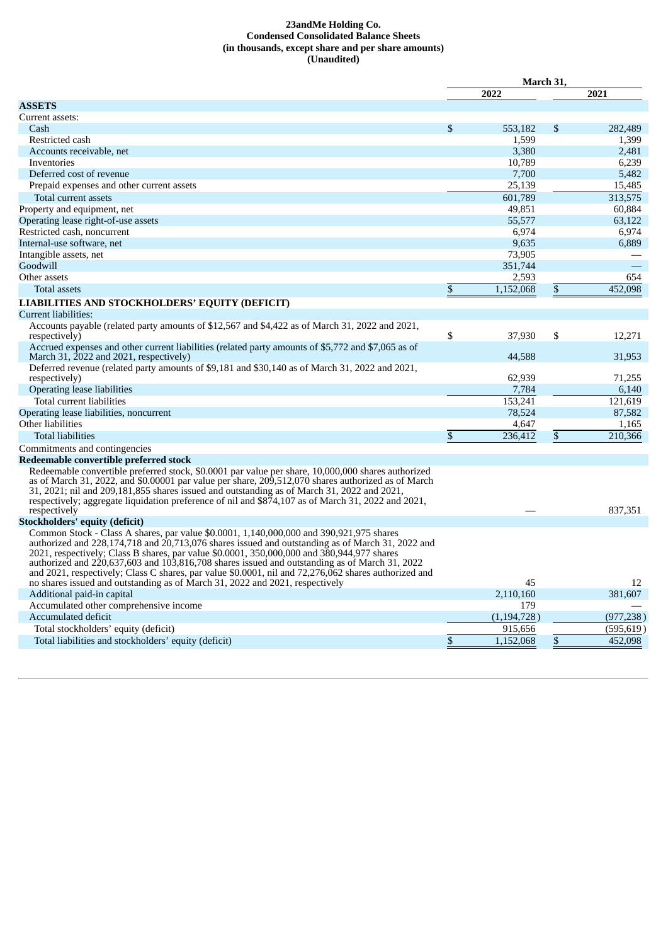#### **23andMe Holding Co. Condensed Consolidated Balance Sheets (in thousands, except share and per share amounts) (Unaudited)**

|                                                                                                                                                                                                                                                                                                                                                                                                                                                                                                    | March 31, |               |    |            |
|----------------------------------------------------------------------------------------------------------------------------------------------------------------------------------------------------------------------------------------------------------------------------------------------------------------------------------------------------------------------------------------------------------------------------------------------------------------------------------------------------|-----------|---------------|----|------------|
|                                                                                                                                                                                                                                                                                                                                                                                                                                                                                                    |           | 2022          |    | 2021       |
| <b>ASSETS</b>                                                                                                                                                                                                                                                                                                                                                                                                                                                                                      |           |               |    |            |
| Current assets:                                                                                                                                                                                                                                                                                                                                                                                                                                                                                    |           |               |    |            |
| Cash                                                                                                                                                                                                                                                                                                                                                                                                                                                                                               | \$        | 553,182       | \$ | 282,489    |
| Restricted cash                                                                                                                                                                                                                                                                                                                                                                                                                                                                                    |           | 1,599         |    | 1,399      |
| Accounts receivable, net                                                                                                                                                                                                                                                                                                                                                                                                                                                                           |           | 3,380         |    | 2,481      |
| Inventories                                                                                                                                                                                                                                                                                                                                                                                                                                                                                        |           | 10,789        |    | 6,239      |
| Deferred cost of revenue                                                                                                                                                                                                                                                                                                                                                                                                                                                                           |           | 7,700         |    | 5,482      |
| Prepaid expenses and other current assets                                                                                                                                                                                                                                                                                                                                                                                                                                                          |           | 25,139        |    | 15,485     |
| Total current assets                                                                                                                                                                                                                                                                                                                                                                                                                                                                               |           | 601,789       |    | 313,575    |
| Property and equipment, net                                                                                                                                                                                                                                                                                                                                                                                                                                                                        |           | 49,851        |    | 60,884     |
| Operating lease right-of-use assets                                                                                                                                                                                                                                                                                                                                                                                                                                                                |           | 55.577        |    | 63.122     |
| Restricted cash, noncurrent                                                                                                                                                                                                                                                                                                                                                                                                                                                                        |           | 6,974         |    | 6,974      |
| Internal-use software, net                                                                                                                                                                                                                                                                                                                                                                                                                                                                         |           | 9.635         |    | 6.889      |
| Intangible assets, net                                                                                                                                                                                                                                                                                                                                                                                                                                                                             |           | 73,905        |    |            |
| Goodwill                                                                                                                                                                                                                                                                                                                                                                                                                                                                                           |           | 351,744       |    |            |
| Other assets                                                                                                                                                                                                                                                                                                                                                                                                                                                                                       |           | 2,593         |    | 654        |
| Total assets                                                                                                                                                                                                                                                                                                                                                                                                                                                                                       | \$        | 1,152,068     | \$ | 452.098    |
| LIABILITIES AND STOCKHOLDERS' EQUITY (DEFICIT)                                                                                                                                                                                                                                                                                                                                                                                                                                                     |           |               |    |            |
| Current liabilities:                                                                                                                                                                                                                                                                                                                                                                                                                                                                               |           |               |    |            |
| Accounts payable (related party amounts of \$12,567 and \$4,422 as of March 31, 2022 and 2021,                                                                                                                                                                                                                                                                                                                                                                                                     |           |               |    |            |
| respectively)                                                                                                                                                                                                                                                                                                                                                                                                                                                                                      | \$        | 37,930        | \$ | 12,271     |
| Accrued expenses and other current liabilities (related party amounts of \$5,772 and \$7,065 as of<br>March 31, 2022 and 2021, respectively)                                                                                                                                                                                                                                                                                                                                                       |           | 44,588        |    | 31,953     |
| Deferred revenue (related party amounts of \$9,181 and \$30,140 as of March 31, 2022 and 2021,                                                                                                                                                                                                                                                                                                                                                                                                     |           |               |    |            |
| respectively)                                                                                                                                                                                                                                                                                                                                                                                                                                                                                      |           | 62.939        |    | 71,255     |
| Operating lease liabilities                                                                                                                                                                                                                                                                                                                                                                                                                                                                        |           | 7,784         |    | 6.140      |
| Total current liabilities                                                                                                                                                                                                                                                                                                                                                                                                                                                                          |           | 153,241       |    | 121,619    |
| Operating lease liabilities, noncurrent                                                                                                                                                                                                                                                                                                                                                                                                                                                            |           | 78.524        |    | 87,582     |
| Other liabilities                                                                                                                                                                                                                                                                                                                                                                                                                                                                                  |           | 4,647         |    | 1.165      |
| <b>Total liabilities</b>                                                                                                                                                                                                                                                                                                                                                                                                                                                                           | \$        | 236,412       | \$ | 210,366    |
| Commitments and contingencies                                                                                                                                                                                                                                                                                                                                                                                                                                                                      |           |               |    |            |
| Redeemable convertible preferred stock                                                                                                                                                                                                                                                                                                                                                                                                                                                             |           |               |    |            |
| Redeemable convertible preferred stock, \$0.0001 par value per share, 10,000,000 shares authorized<br>as of March 31, 2022, and \$0.00001 par value per share, 209,512,070 shares authorized as of March<br>31, 2021; nil and 209,181,855 shares issued and outstanding as of March 31, 2022 and 2021,<br>respectively; aggregate liquidation preference of nil and \$874,107 as of March 31, 2022 and 2021,<br>respectively                                                                       |           |               |    | 837,351    |
| Stockholders' equity (deficit)                                                                                                                                                                                                                                                                                                                                                                                                                                                                     |           |               |    |            |
| Common Stock - Class A shares, par value \$0.0001, 1,140,000,000 and 390,921,975 shares<br>authorized and 228,174,718 and 20,713,076 shares issued and outstanding as of March 31, 2022 and<br>2021, respectively; Class B shares, par value \$0.0001, 350,000,000 and 380,944,977 shares<br>authorized and 220,637,603 and 103,816,708 shares issued and outstanding as of March 31, 2022<br>and 2021, respectively; Class C shares, par value \$0.0001, nil and 72,276,062 shares authorized and |           |               |    |            |
| no shares issued and outstanding as of March 31, 2022 and 2021, respectively                                                                                                                                                                                                                                                                                                                                                                                                                       |           | 45            |    | 12         |
| Additional paid-in capital                                                                                                                                                                                                                                                                                                                                                                                                                                                                         |           | 2,110,160     |    | 381,607    |
| Accumulated other comprehensive income                                                                                                                                                                                                                                                                                                                                                                                                                                                             |           | 179           |    |            |
| Accumulated deficit                                                                                                                                                                                                                                                                                                                                                                                                                                                                                |           | (1, 194, 728) |    | (977, 238) |
| Total stockholders' equity (deficit)                                                                                                                                                                                                                                                                                                                                                                                                                                                               |           | 915,656       |    | (595, 619) |
| Total liabilities and stockholders' equity (deficit)                                                                                                                                                                                                                                                                                                                                                                                                                                               | \$        | 1,152,068     | \$ | 452,098    |
|                                                                                                                                                                                                                                                                                                                                                                                                                                                                                                    |           |               |    |            |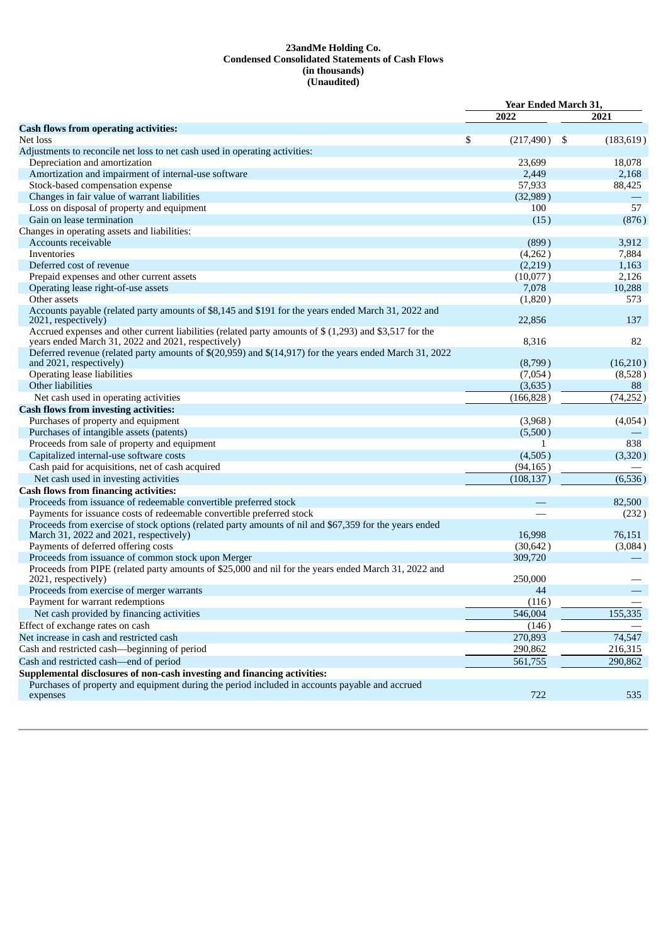#### **23andMe Holding Co. Condensed Consolidated Statements of Cash Flows (in thousands) (Unaudited)**

|                                                                                                                                                               | Year Ended March 31, |     |            |
|---------------------------------------------------------------------------------------------------------------------------------------------------------------|----------------------|-----|------------|
|                                                                                                                                                               | 2022                 |     | 2021       |
| <b>Cash flows from operating activities:</b>                                                                                                                  |                      |     |            |
| Net loss                                                                                                                                                      | \$<br>(217, 490)     | -\$ | (183, 619) |
| Adjustments to reconcile net loss to net cash used in operating activities:                                                                                   |                      |     |            |
| Depreciation and amortization                                                                                                                                 | 23,699               |     | 18,078     |
| Amortization and impairment of internal-use software                                                                                                          | 2,449                |     | 2,168      |
| Stock-based compensation expense                                                                                                                              | 57,933               |     | 88,425     |
| Changes in fair value of warrant liabilities                                                                                                                  | (32,989)             |     |            |
| Loss on disposal of property and equipment                                                                                                                    | 100                  |     | 57         |
| Gain on lease termination                                                                                                                                     | (15)                 |     | (876)      |
| Changes in operating assets and liabilities:                                                                                                                  |                      |     |            |
| Accounts receivable                                                                                                                                           | (899)                |     | 3,912      |
| Inventories                                                                                                                                                   | (4,262)              |     | 7,884      |
| Deferred cost of revenue                                                                                                                                      | (2,219)              |     | 1,163      |
| Prepaid expenses and other current assets                                                                                                                     | (10,077)             |     | 2,126      |
| Operating lease right-of-use assets                                                                                                                           | 7,078                |     | 10,288     |
| Other assets                                                                                                                                                  | (1,820)              |     | 573        |
| Accounts payable (related party amounts of \$8,145 and \$191 for the years ended March 31, 2022 and<br>2021, respectively)                                    | 22,856               |     | 137        |
| Accrued expenses and other current liabilities (related party amounts of \$ (1,293) and \$3,517 for the<br>years ended March 31, 2022 and 2021, respectively) | 8,316                |     | 82         |
| Deferred revenue (related party amounts of \$(20,959) and \$(14,917) for the years ended March 31, 2022                                                       |                      |     |            |
| and 2021, respectively)                                                                                                                                       | (8,799)              |     | (16,210)   |
| Operating lease liabilities                                                                                                                                   | (7,054)              |     | (8,528)    |
| Other liabilities                                                                                                                                             | (3,635)              |     | 88         |
| Net cash used in operating activities                                                                                                                         | (166, 828)           |     | (74, 252)  |
| <b>Cash flows from investing activities:</b>                                                                                                                  |                      |     |            |
| Purchases of property and equipment                                                                                                                           | (3,968)              |     | (4,054)    |
| Purchases of intangible assets (patents)                                                                                                                      | (5,500)              |     |            |
| Proceeds from sale of property and equipment                                                                                                                  | 1                    |     | 838        |
| Capitalized internal-use software costs                                                                                                                       | (4,505)              |     | (3,320)    |
| Cash paid for acquisitions, net of cash acquired                                                                                                              | (94, 165)            |     |            |
| Net cash used in investing activities                                                                                                                         | (108, 137)           |     | (6,536)    |
| <b>Cash flows from financing activities:</b>                                                                                                                  |                      |     |            |
| Proceeds from issuance of redeemable convertible preferred stock                                                                                              |                      |     | 82,500     |
| Payments for issuance costs of redeemable convertible preferred stock                                                                                         |                      |     | (232)      |
| Proceeds from exercise of stock options (related party amounts of nil and \$67,359 for the years ended<br>March 31, 2022 and 2021, respectively)              | 16.998               |     | 76,151     |
| Payments of deferred offering costs                                                                                                                           | (30, 642)            |     | (3,084)    |
| Proceeds from issuance of common stock upon Merger                                                                                                            | 309,720              |     |            |
| Proceeds from PIPE (related party amounts of \$25,000 and nil for the years ended March 31, 2022 and<br>2021, respectively)                                   | 250,000              |     |            |
| Proceeds from exercise of merger warrants                                                                                                                     | 44                   |     |            |
| Payment for warrant redemptions                                                                                                                               | (116)                |     |            |
| Net cash provided by financing activities                                                                                                                     | 546,004              |     | 155,335    |
| Effect of exchange rates on cash                                                                                                                              | (146)                |     |            |
| Net increase in cash and restricted cash                                                                                                                      | 270,893              |     | 74,547     |
| Cash and restricted cash-beginning of period                                                                                                                  | 290,862              |     | 216,315    |
| Cash and restricted cash-end of period                                                                                                                        | 561,755              |     | 290,862    |
| Supplemental disclosures of non-cash investing and financing activities:                                                                                      |                      |     |            |
| Purchases of property and equipment during the period included in accounts payable and accrued<br>expenses                                                    | 722                  |     | 535        |
|                                                                                                                                                               |                      |     |            |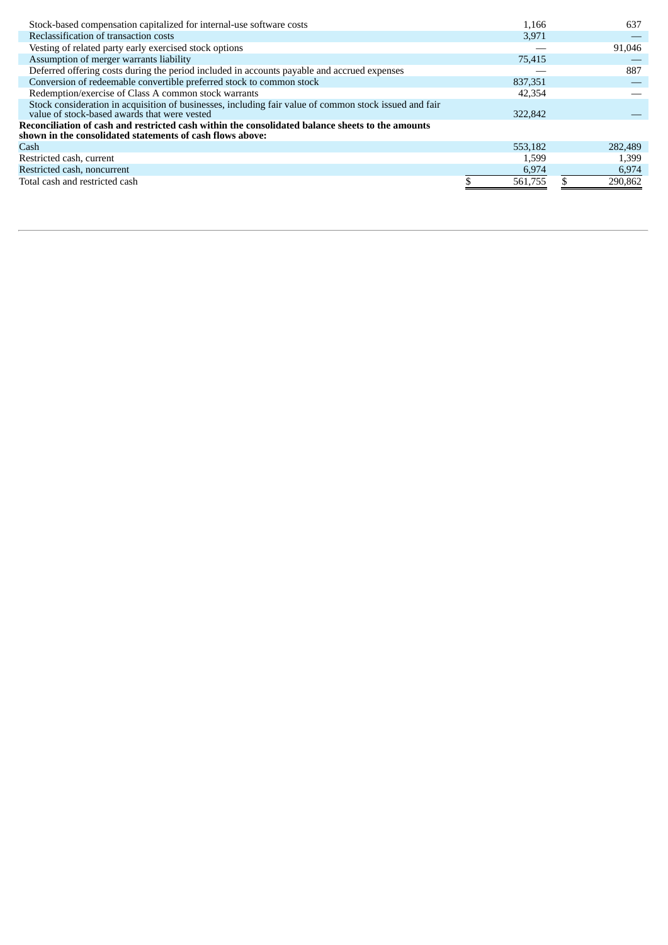| Stock-based compensation capitalized for internal-use software costs                                                                                          | 1,166   | 637     |
|---------------------------------------------------------------------------------------------------------------------------------------------------------------|---------|---------|
| Reclassification of transaction costs                                                                                                                         | 3,971   |         |
| Vesting of related party early exercised stock options                                                                                                        |         | 91,046  |
| Assumption of merger warrants liability                                                                                                                       | 75,415  |         |
| Deferred offering costs during the period included in accounts payable and accrued expenses                                                                   |         | 887     |
| Conversion of redeemable convertible preferred stock to common stock                                                                                          | 837,351 |         |
| Redemption/exercise of Class A common stock warrants                                                                                                          | 42,354  |         |
| Stock consideration in acquisition of businesses, including fair value of common stock issued and fair<br>value of stock-based awards that were vested        | 322,842 |         |
| Reconciliation of cash and restricted cash within the consolidated balance sheets to the amounts<br>shown in the consolidated statements of cash flows above: |         |         |
| Cash                                                                                                                                                          | 553,182 | 282,489 |
| Restricted cash, current                                                                                                                                      | 1,599   | 1,399   |
| Restricted cash, noncurrent                                                                                                                                   | 6,974   | 6,974   |
| Total cash and restricted cash                                                                                                                                | 561,755 | 290,862 |